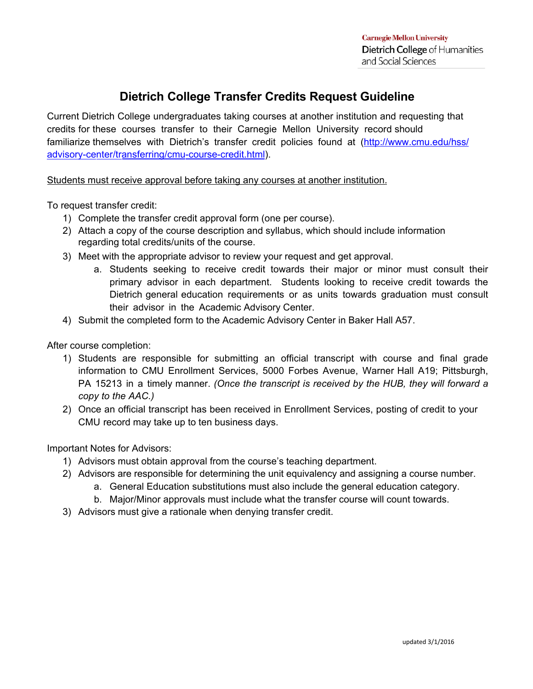## **Dietrich College Transfer Credits Request Guideline**

Current Dietrich College undergraduates taking courses at another institution and requesting that credits for these courses transfer to their Carnegie Mellon University record should familiarize themselves with Dietrich's transfer credit policies found at (http://www.cmu.edu/hss/ advisory-center/transferring/cmu-course-credit.html).

Students must receive approval before taking any courses at another institution.

To request transfer credit:

- 1) Complete the transfer credit approval form (one per course).
- 2) Attach a copy of the course description and syllabus, which should include information regarding total credits/units of the course.
- 3) Meet with the appropriate advisor to review your request and get approval.
	- a. Students seeking to receive credit towards their major or minor must consult their primary advisor in each department. Students looking to receive credit towards the Dietrich general education requirements or as units towards graduation must consult their advisor in the Academic Advisory Center.
- 4) Submit the completed form to the Academic Advisory Center in Baker Hall A57.

After course completion:

- 1) Students are responsible for submitting an official transcript with course and final grade information to CMU Enrollment Services, 5000 Forbes Avenue, Warner Hall A19; Pittsburgh, PA 15213 in a timely manner. *(Once the transcript is received by the HUB, they will forward a copy to the AAC.)*
- 2) Once an official transcript has been received in Enrollment Services, posting of credit to your CMU record may take up to ten business days.

Important Notes for Advisors:

- 1) Advisors must obtain approval from the course's teaching department.
- 2) Advisors are responsible for determining the unit equivalency and assigning a course number.
	- a. General Education substitutions must also include the general education category.
	- b. Major/Minor approvals must include what the transfer course will count towards.
- 3) Advisors must give a rationale when denying transfer credit.